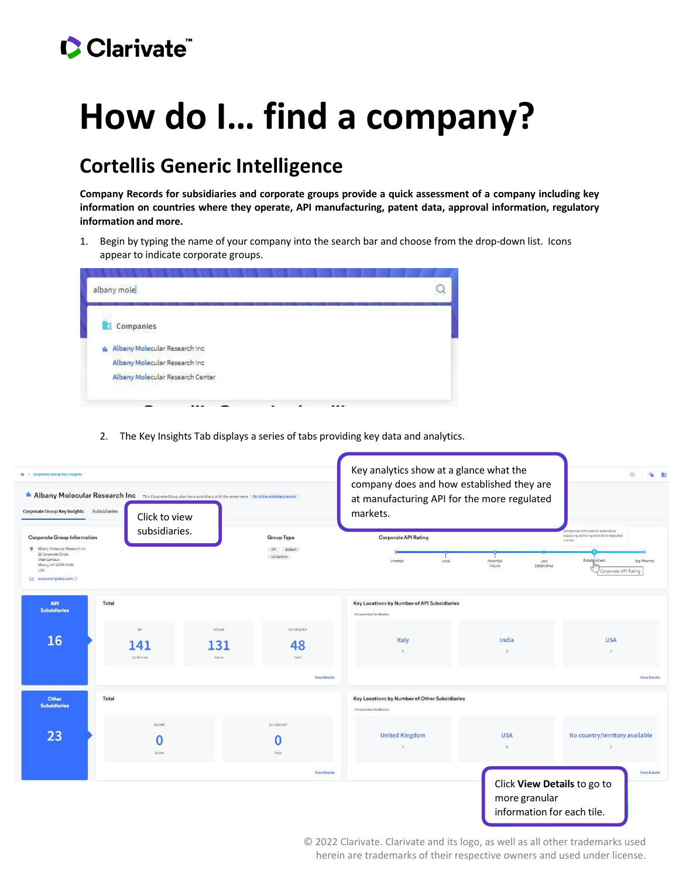## Clarivate

## **How do I… find a company?**

## **Cortellis Generic Intelligence**

**Company Records for subsidiaries and corporate groups provide a quick assessment of a company including key information on countries where they operate, API manufacturing, patent data, approval information, regulatory information and more.**

1. Begin by typing the name of your company into the search bar and choose from the drop-down list. Icons appear to indicate corporate groups.

2. The Key Insights Tab displays a series of tabs providing key data and analytics.

| ← > Corporate Group Key Insights<br>Corporate Group Key Insights                                                                                                                 | <b>E Albany Molecular Research Inc</b> This Corporate Group also has a subsidiary with the same name Go to the subsidiary record<br>Subsidiaries<br>Click to view |                                                |                           | Key analytics show at a glance what the<br>company does and how established they are<br>at manufacturing API for the more regulated<br>markets. | $\alpha$<br>OB      |                                                                                                                                                                        |
|----------------------------------------------------------------------------------------------------------------------------------------------------------------------------------|-------------------------------------------------------------------------------------------------------------------------------------------------------------------|------------------------------------------------|---------------------------|-------------------------------------------------------------------------------------------------------------------------------------------------|---------------------|------------------------------------------------------------------------------------------------------------------------------------------------------------------------|
| <b>Corporate Group Information</b><br><b>Q</b> Albany Molecular Research Inc.<br>26 Corporate Circle<br>West Campus<br>Albany, NY 12203-5154<br><b>USA</b><br>www.amriglobal.com | subsidiaries.                                                                                                                                                     | <b>Group Type</b><br>API Biotech<br>US Generic |                           | <b>Corporate API Rating</b><br>Unrated<br>Local                                                                                                 | Potential<br>Future | companies with years of experience<br>supplying active ingredients to regulated<br>market.<br>Established<br>Big Pharma<br>Less<br>Established<br>Corporate API Rating |
| <b>API</b><br><b>Subsidiaries</b>                                                                                                                                                | Total                                                                                                                                                             |                                                |                           | Key Locations by Number of API Subsidiaries<br>6 Countries/Territories                                                                          |                     |                                                                                                                                                                        |
| 16                                                                                                                                                                               | AP1<br>141<br>Confirmed                                                                                                                                           | US DMF<br>131<br>Active                        | EU COS/CEP<br>48<br>Valid | Italy<br>5                                                                                                                                      | India<br>3          | <b>USA</b><br>$3^{\circ}$                                                                                                                                              |
|                                                                                                                                                                                  |                                                                                                                                                                   |                                                | <b>View Details</b>       |                                                                                                                                                 |                     | <b>View Details</b>                                                                                                                                                    |
| <b>Other</b><br><b>Subsidiaries</b>                                                                                                                                              | Total                                                                                                                                                             |                                                |                           | Key Locations by Number of Other Subsidiaries<br>9 Countries/Territories                                                                        |                     |                                                                                                                                                                        |
| 23                                                                                                                                                                               | US DMF<br>Active                                                                                                                                                  |                                                | EU COS/CEP<br>Valid       | <b>United Kingdom</b><br>$\overline{7}$                                                                                                         | <b>USA</b>          | No country/territory available                                                                                                                                         |
|                                                                                                                                                                                  |                                                                                                                                                                   |                                                | <b>View Details</b>       |                                                                                                                                                 | more granular       | <b>View Details</b><br>Click View Details to go to<br>information for each tile.                                                                                       |

© 2022 Clarivate. Clarivate and its logo, as well as all other trademarks used herein are trademarks of their respective owners and used under license.